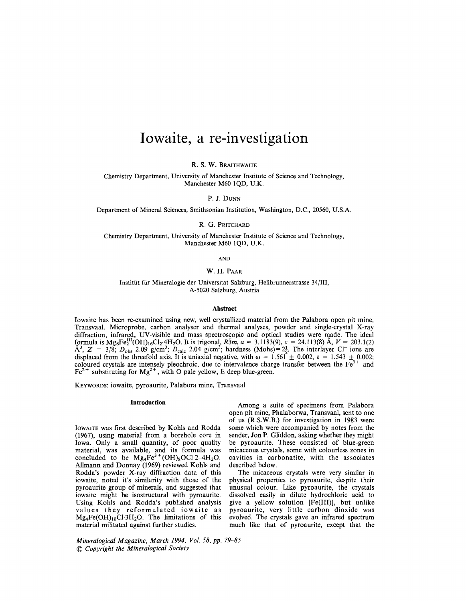# **Iowaite, a fe-investigation**

R. S. W. BRAITHWAITE

Chemistry Department, University of Manchester Institute of Science and Technology, Manchester M60 lQD, U.K.

P. J. DUNN

Department of Mineral Sciences, Smithsonian Institution, Washington, D.C., 20560, U.S.A.

R. G. PRITCHARD

Chemistry Department, University of Manchester Institute of Science and Technology, Manchester M60 lQD, U.K.

AND

## W. H. PAAR

Institüt für Mineralogie der Universitat Salzburg, Hellbrunnerstrasse 34/III, A-5020 Salzburg, Austria

## **Abstract**

lowaite has been re-examined using new, well crystallized material from the Palabora open pit mine, Transvaal. Microprobe, carbon analyser and thermal analyses, powder and single-crystal X-ray diffraction, infrared, UV-visible and mass spectroscopic and optical studies were made. The ideal formula is  $Mg_6Fe^{111}_{2}(OH)_{16}Cl_2 \cdot 4H_2O$ . It is trigonal,  $R\bar{3}m$ ,  $a = 3.1183(9)$ ,  $c = 24.113(8)$  A,  $V = 203.1(2)$  $\rm \AA^3$ ,  $\rm Z$  = 3/8;  $\rm D_{obs}$  2.09 g/cm<sup>3</sup>;  $\rm D_{calc}$  2.04 g/cm<sup>3</sup>; hardness (Mohs) = 2 $\frac{1}{6}$ . The interlayer Cl<sup>-</sup> ions are displaced from the threefold axis. It is uniaxial negative, with  $\omega = 1.561 \pm 0.002$ ,  $\varepsilon = 1.543 \pm 0.002$ ; coloured crystals are intensely pleochroic, due to intervalence charge transfer between the  $Fe<sup>3+</sup>$  and  $Fe<sup>2+</sup>$  substituting for  $Mg<sup>2+</sup>$ , with O pale yellow, E deep blue-green.

KEYWORDS: iowaite, pyroaurite, Palabora mine, Transvaal

# **Introduction**

IOWAITE was first described by Kohls and Rodda (1967), using material from a borehole core in Iowa. Only a small quantity, of poor quality material, was available, and its formula was<br>concluded to be Mg<sub>4</sub>Fe<sup>3+</sup>(OH)<sub>8</sub>OCl·2–4H<sub>2</sub>O. Allmann and Donnay (1969) reviewed Kohls and Rodda's powder X-ray diffraction data of this iowaite, noted it's similarity with those of the pyroaurite group of minerals, and suggested that iowaite might be isostructural with pyroaurite. Using Kohls and Rodda's published analysis values they reformulated iowaite as  $Mg_4Fe(OH)_{10}Cl·3H_2O$ . The limitations of this material militated against further studies.

*Mineralogical Magazine, March* 1994, *Vol.* 58, *pp. 79--85* (g *Copyright the Mineralogical Society*

Among a suite of specimens from Palabora open pit mine, Phalaborwa, Transvaal, sent to one of us (R.S.W.B.) for investigation in 1983 were some which were accompanied by notes from the sender, Jon P. Gliddon, asking whether they might be pyroaurite. These consisted of blue-green micaceous crystals, some with colourless zones in cavities in carbonatite, with the associates described below.

The micaceous crystals were very similar in physical properties to pyroaurite, despite their unusual colour. Like pyroaurite, the crystals dissolved easily in dilute hydrochloric acid to give a yellow solution [Fe(III)], but unlike pyroaurite, very little carbon dioxide was evolved. The crystals gave an infrared spectrum much like that of pyroaurite, except that the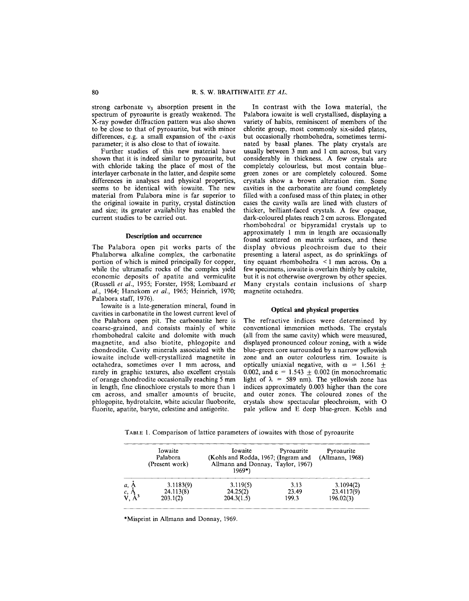strong carbonate  $v_3$  absorption present in the spectrum of pyroaurite is greatly weakened. The X-ray powder diffraction pattern was also shown to be close to that of pyroaurite, but with minor differences, e.g. a small expansion of the  $c$ -axis parameter; it is also close to that of iowaite.

Further studies of this new material have shown that it is indeed similar to pyroaurite, but with chloride taking the place of most of the interlayer carbonate in the latter, and despite some differences in analyses and physical properties, seems to be identical with iowaite. The new material from Palabora mine is far superior to the original iowaite in purity, crystal distinction and size; its greater availability has enabled the current studies to be carried out.

## **Description and occurrence**

The Palabora open pit works parts of the Phalaborwa alkaline complex, the carbonatite portion of which is mined principally for copper, while the ultramafic rocks of the complex vield economic deposits of apatite and vermiculite (Russell *et al.,* 1955; Forster, 1958; Lombaard *et al.,* 1964; Hanekom *et ai.,* 1965; Heinrich, 1970; Palabora staff, 1976).

Iowaite is a late-generation mineral, found in cavities in carbonatite in the lowest current level of the Pa1abora open pit. The carbonatite here is coarse-grained, and consists mainly of white rhombohedral calcite and dolomite with much magnetite, and also biotite, phlogopite and chondrodite. Cavity minerals associated with the iowaite include well-crystallized magnetite in octahedra, sometimes over 1 mm across, and rarely in graphic textures, also excellent crystals of orange chondrodite occasionally reaching 5 mm in length, fine clinochlore crystals to more than 1 cm across, and smaller amounts of brucite, phlogopite, hydrotalcite, white acicular fluoborite, fluorite, apatite, baryte, celestine and antigorite.

In contrast with the Iowa material, the Palabora iowaite is well crystallised, displaying a variety of habits, reminiscent of members of the chlorite group, most commonly six-sided plates, but occasionally rhombohedra, sometimes terminated by basal planes. The platy crystals are usually between  $3 \text{ mm}$  and 1 cm across, but vary considerably in thickness. A few crystals are completely colourless, but most contain bluegreen zones or are completely coloured. Some crystals show a brown alteration rim. Some cavities in the carbonatite are found completely filled with a confused mass of thin plates; in other cases the cavity walls are lined with clusters of thicker, brilliant-faced crystals. A few opaque, dark-coloured plates reach 2 cm across. Elongated rhombohedral or bipyramidal crystals up to approximately 1 mm in length are occasionally found scattered on matrix surfaces, and these display obvious pleochroism due to their presenting a lateral aspect, as do sprinklings of tiny equant rhombohedra < 1 mm across. On a few specimens, iowaite is overlain thinly by calcite, but it is not otherwise overgrown by other species. Many crystals contain inclusions of sharp magnetite octahedra.

## **Optical and physical properties**

The refractive indices were determined by conventional immersion methods. The crystals (all from the same cavity) which were measured, displayed pronounced colour zoning, with a wide blue-green core surrounded by a narrow yellowish zone and an outer colourless rim. Iowaite is optically uniaxial negative, with  $\omega = 1.561 \pm$ 0.002, and  $\varepsilon = 1.543 + 0.002$  (in monochromatic light of  $\lambda = 589$  nm). The vellowish zone has indices approximately 0.003 higher than the core and outer zones. The coloured zones of the crystals show spectacular pleochroism, with 0 pale yellow and E deep blue-green. Kohls and

TABLE1. Comparison of lattice parameters of iowaites with those of pyroaurite

|                  | Iowaite<br>Palabora<br>(Present work) | Iowaite<br>(Kohls and Rodda, 1967; (Ingram and<br>Allmann and Donnay, Taylor, 1967)<br>$1969*)$ | Pyroaurite | Pyroaurite<br>(Allmann, 1968) |
|------------------|---------------------------------------|-------------------------------------------------------------------------------------------------|------------|-------------------------------|
| a, A, c, A, V, A | 3.1183(9)                             | 3.119(5)                                                                                        | 3.13       | 3.1094(2)                     |
|                  | 24.113(8)                             | 24.25(2)                                                                                        | 23.49      | 23.4117(9)                    |
|                  | 203.1(2)                              | 204.3(1.5)                                                                                      | 199.3      | 196.02(3)                     |

\*Misprint in AUmann and Donnay, 1969.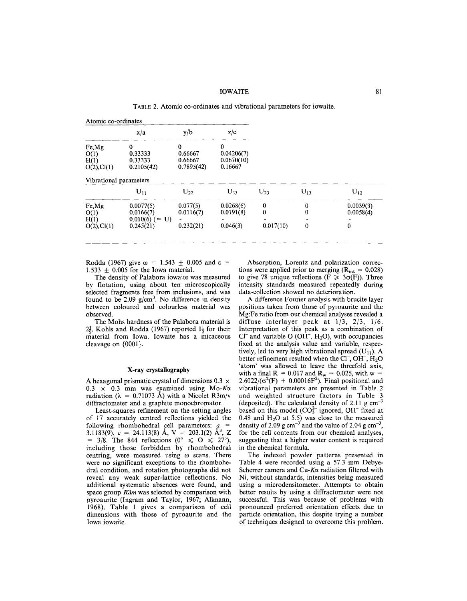# lOWAITE 81

TABLE 2. Atomic co-ordinates and vibrational parameters for iowaite.

| Atomic co-ordinates                                     |                                       |                                          |                     |                    |                                    |
|---------------------------------------------------------|---------------------------------------|------------------------------------------|---------------------|--------------------|------------------------------------|
| x/a                                                     | y/b                                   | z/c                                      |                     |                    |                                    |
| 0<br>0.33333<br>0.33333<br>0.2105(42)                   | 0<br>0.66667<br>0.66667<br>0.7895(42) | 0<br>0.04206(7)<br>0.0670(10)<br>0.16667 |                     |                    |                                    |
| Vibrational parameters                                  |                                       |                                          |                     |                    |                                    |
| $U_{11}$                                                | $U_{22}$                              | $U_{33}$                                 | $U_{23}$            | $U_{13}$           | $U_{12}$                           |
| 0.0077(5)<br>0.0166(7)<br>$0.010(6) (= U)$<br>0.245(21) | 0.077(5)<br>0.0116(7)<br>0.232(21)    | 0.0268(6)<br>0.0191(8)<br>0.046(3)       | 0<br>0<br>0.017(10) | 0<br>0<br>$\bf{0}$ | 0.0039(3)<br>0.0058(4)<br>$\bf{0}$ |
|                                                         |                                       |                                          |                     |                    |                                    |

Rodda (1967) give  $\omega = 1.543 \pm 0.005$  and  $\varepsilon =$ 1.533  $\pm$  0.005 for the Iowa material.

The density of Palabora iowaite was measured by flotation, using about ten microscopically selected fragments free from inclusions, and was found to be 2.09 *g/cm3.* No difference in density between coloured and colourless material was observed.

The Mohs hardness of the Palabora material is  $2\frac{1}{2}$ . Kohls and Rodda (1967) reported  $1\frac{1}{2}$  for their material from Iowa. Iowaite has a micaceous cleavage on {ODD1}.

## **X-ray crystallography**

A hexagonal prismatic crystal of dimensions  $0.3 \times$ 0.3 x 0.3 mm was examined using *Mo-Kcx* radiation ( $\lambda = 0.71073$  Å) with a Nicolet R3m/v diffractometer and a graphite monochromator.

Least-squares refinement on the setting angles of 17 accurately centred reflections yielded the following rhombohedral cell parameters:  $a_{\text{a}} =$ 3.1183(9),  $c = 24.113(8)$  Å,  $V = 203.1(2)$  Å<sup>3</sup>, Z  $=$  3/8. The 844 reflections (0°  $\leq$  0  $\leq$  27°), including those forbidden by rhombohedral centring, were measured using  $\omega$  scans. There were no significant exceptions to the rhombohedral condition, and rotation photographs did not reveal any weak super-lattice reflections. No additional systematic absences were found, and space group *R3m* was selected by comparison with pyroaurite (Ingram and Taylor, 1967; AHmann, 1968). Table 1 gives a comparison of cell dimensions with those of pyroaurite and the Iowa iowaite.

Absorption, Lorentz and polarization corrections were applied prior to merging  $(R<sub>int</sub> = 0.028)$ to give 78 unique reflections ( $\overline{F} \geq 3\sigma(F)$ ). Three intensity standards measured repeatedly during data-collection showed no deterioration.

A difference Fourier analysis with brucite layer positions taken from those of pyroaurite and the Mg:Fe ratio from our chemical analyses revealed a diffuse interlayer peak at *1/3, 2/3, 1/6.* Interpretation of this peak as a combination of  $Cl^-$  and variable O (OH<sup>-</sup>, H<sub>2</sub>O), with occupancies fixed at the analysis value and variable, respectively, led to very high vibrational spread  $(U_{11})$ . A better refinement resulted when the Cl<sup>-</sup>, OH<sup>-</sup>, H<sub>2</sub>O 'atom' was allowed to leave the threefold axis, with a final R =  $0.017$  and R<sub>w</sub> = 0.025, with w =  $2.6022/(\sigma^2(F) + 0.00016F^2)$ . Final positional and vibrational parameters are presented in Table 2 and weighted structure factors in Table 3 (deposited). The calculated density of 2.11  $g \text{ cm}^{-3}$ based on this model  $(CO_3^{2-}$  ignored, OH<sup>-</sup> fixed at 0.48 and  $H_2O$  at 5.5) was close to the measure density of 2.09 g cm<sup>-3</sup> and the value of 2.04 g cm<sup>-3</sup>, for the cell contents from our chemical analyses, suggesting that a higher water content is required in the chemical formula.

The indexed powder patterns presented in Table 4 were recorded using a 57.3 mm Debye-Scherrer camera and Cu-Ka radiation filtered with Ni, without standards, intensities being measured using a microdensitometer. Attempts to obtain better results by using a diffractometer were not successful. This was because of problems with pronounced preferred orientation effects due to particle orientation, this despite trying a number of techniques designed to overcome this problem.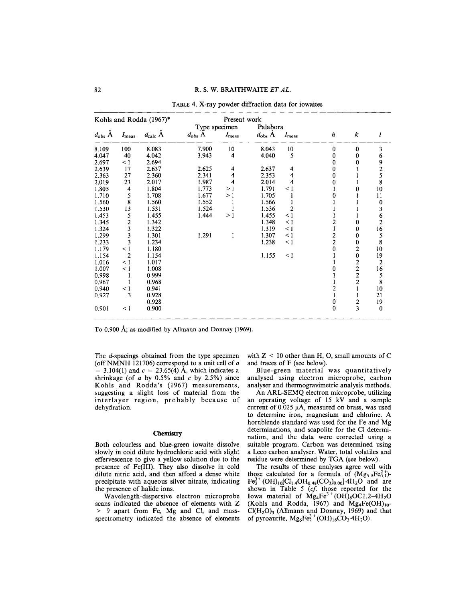|                        |                | Kohls and Rodda (1967)* |                 | Present work      |                    |                |                         |                         |                                                 |
|------------------------|----------------|-------------------------|-----------------|-------------------|--------------------|----------------|-------------------------|-------------------------|-------------------------------------------------|
|                        |                |                         | Type specimen   |                   | Palabora           |                |                         |                         |                                                 |
| $d_{\text{obs}}$ $\AA$ | $I_{\rm meas}$ | $d_{\rm calc}$ A        | $d_{\rm obs}$ A | $I_{\text{meas}}$ | $d_{\text{obs}}$ A | $I_{\rm meas}$ | h                       | k                       | l                                               |
| 8.109                  | 100            | 8.083                   | 7.900           | 10                | 8.043              | 10             | $\bf{0}$                | $\bf{0}$                | 3                                               |
| 4.047                  | 40             | 4.042                   | 3.943           | $\overline{4}$    | 4.040              | 5              | $\bf{0}$                | 0                       | 6                                               |
| 2.697                  | $\leq$ 1       | 2.694                   |                 |                   |                    |                | 0                       | 0                       |                                                 |
| 2.639                  | 17             | 2.637                   | 2.625           | 4                 | 2.637              | 4              | 0                       |                         | $\begin{array}{c} 9 \\ 2 \\ 5 \\ 8 \end{array}$ |
| 2.363                  | 27             | 2.360                   | 2.341           | 4                 | 2.353              | 4              | $\bf{0}$                |                         |                                                 |
| 2.019                  | 23             | 2.017                   | 1.987           | 4                 | 2.014              | 4              | $\bf{0}$                |                         |                                                 |
| 1.805                  | 4              | 1.804                   | 1.773           | >1                | 1.791              | $\leq 1$       | $\mathbf{1}$            | 0                       | $10\,$                                          |
| 1.710                  | 5              | 1.708                   | 1.677           | >1                | 1.705              |                | 0                       |                         | 11                                              |
| 1.560                  | 8              | 1.560                   | 1.552           |                   | 1.566              |                |                         |                         | $\bf{0}$                                        |
| 1.530                  | 13             | 1.531                   | 1.524           |                   | 1.536              | $\overline{2}$ |                         |                         | 3                                               |
| 1.453                  | 5              | 1.455                   | 1.444           | >1                | 1.455              | $\leq$ 1       |                         |                         |                                                 |
| 1.345                  |                | 1.342                   |                 |                   | 1.348              | $\leq$ 1       | $\overline{c}$          | $\bf{0}$                | $\begin{array}{c} 6 \\ 2 \end{array}$           |
| 1.324                  | $\frac{2}{3}$  | 1.322                   |                 |                   | 1.319              | $\leq 1$       |                         | $\bf{0}$                | $16\,$                                          |
| 1.299                  | 3              | 1.301                   | 1.291           | 1                 | 1.307              | $\leq 1$       | $\overline{\mathbf{c}}$ | $\bf{0}$                | 5                                               |
| 1.233                  | 3              | 1.234                   |                 |                   | 1.238              | $\leq$ 1       | $\overline{c}$          | $\pmb{0}$               | 8                                               |
| 1.179                  | $\leq$ 1       | 1.180                   |                 |                   |                    |                | $\bf{0}$                | $\overline{\mathbf{c}}$ | 10                                              |
| 1.154                  | $\overline{c}$ | 1.154                   |                 |                   | 1.155              | $\leq 1$       |                         | $\bf{0}$                | 19                                              |
| 1.016                  | $\leq$ 1       | 1.017                   |                 |                   |                    |                |                         |                         | $\mathbf 2$                                     |
| 1.007                  | $\leq$ 1       | 1.008                   |                 |                   |                    |                | 0                       |                         |                                                 |
| 0.998                  | 1              | 0.999                   |                 |                   |                    |                |                         | $\frac{2}{2}$           |                                                 |
| 0.967                  |                | 0.968                   |                 |                   |                    |                |                         | $\overline{\mathbf{c}}$ | $\begin{array}{c}\n16 \\ 5 \\ 8\n\end{array}$   |
| 0.940                  | $\leq 1$       | 0.941                   |                 |                   |                    |                | 2                       | $\mathbf{1}$            | 10                                              |
| 0.927                  | 3              | 0.928                   |                 |                   |                    |                |                         |                         | 21                                              |
|                        |                | 0.928                   |                 |                   |                    |                | $\bf{0}$                | $\overline{\mathbf{c}}$ | 19                                              |
| 0.901                  | $\leq$ 1       | 0.900                   |                 |                   |                    |                | $\bf{0}$                | $\overline{\mathbf{3}}$ | $\bf{0}$                                        |

|  |  |  | TABLE 4. X-ray powder diffraction data for iowaites |  |  |  |
|--|--|--|-----------------------------------------------------|--|--|--|
|--|--|--|-----------------------------------------------------|--|--|--|

To 0.900 A; as modified by AHmann and Donnay (1969).

The d-spacings obtained from the type specimen (off NMNH  $121706$ ) correspond to a unit cell of *a*  $= 3.104(1)$  and  $c = 23.65(4)$  Å, which indicates a shrinkage (of *a* by 0.5% and *e* by 2.5%) since Kohls and Rodda's (1967) measurements, suggesting a slight loss of material from the interlayer region, probably because of dehydration.

## **Chemistry**

Both colourless and blue-green iowaite dissolve slowly in cold dilute hydrochloric acid with slight effervescence to give a yellow solution due to the presence of Fe(III). They also dissolve in cold dilute nitric acid, and then afford a dense white precipitate with aqueous silver nitrate, indicating the presence of halide ions.

Wavelength-dispersive electron microprobe scans indicated the absence of elements with Z > 9 apart from Fe, Mg and Cl, and massspectrometry indicated the absence of elements with  $Z < 10$  other than H, O, small amounts of C and traces of F (see below).

Blue-green material was quantitatively analysed using electron microprobe, carbon analyser and thermogravimetric analysis methods.

An ARL-SEMQ electron microprobe, utilizing an operating voltage of 15 kV and a sample current of  $0.025 \mu A$ , measured on brass, was used to determine iron, magnesium and chlorine. A hornblende standard was used for the Fe and Mg determinations, and scapolite for the Cl determination, and the data were corrected using a suitable program. Carbon was determined using a Leco carbon analyser. Water, total volatiles and residue were determined by TGA (see below).

The results of these analyses agree well with those calculated for a formula of  $(Mg_{5.9}Fe_{0.1}^{2+})$ - $\text{Fe}_{2}^{3+}(\text{OH})_{16}[\text{Cl}_{1.4}\text{OH}_{0.48}(\text{CO}_{3})_{0.06}]\cdot4\text{H}_{2}\text{O}$  and are shown in Table 5 *(el* those reported for the Iowa material of  $Mg_4Fe^{3+}(\text{OH})_8\text{OC}1.2-4\text{H}_2$ (Kohls and Rodda, 1967) and  $Mg_4Fe(OH)_1$  $Cl(H<sub>2</sub>O)<sub>3</sub>$  (Allmann and Donnay, 1969) and that of pyroaurite,  $Mg_6Fe_2^{3+}(\text{OH})_{16}\text{CO}_3.4\text{H}_2\text{O}$ .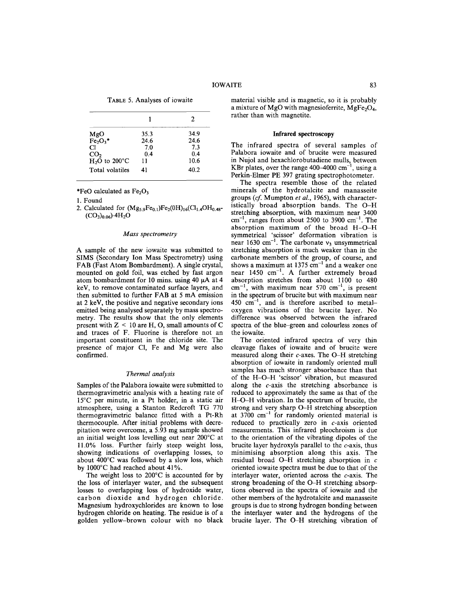TABLE 5. Analyses of iowaite

|                 |      | 2    |
|-----------------|------|------|
| MgO             | 35.3 | 34.9 |
| $Fe2O3$ *       | 24.6 | 24.6 |
| Сl              | 7.0  | 7.3  |
| CO <sub>2</sub> | 0.4  | 0.4  |
| $H2O$ to 200°C  | 11   | 10.6 |
| Total volatiles | 41   | 40.2 |

\*FeO calculated as  $Fe<sub>2</sub>O<sub>3</sub>$ 

1. Found

2. Calculated for  $(Mg_{5.9}Fe_{0.1})Fe_2(0H)_{16}(Cl_{1.4}OH_{0.48}$ - $(CO<sub>3</sub>)<sub>0.06</sub>$ ).4H<sub>2</sub>O

## *Mass spectrometry*

A sample of the new iowaite was submitted to SIMS (Secondary Ion Mass Spectrometry) using FAB (Fast Atom Bombardment). A single crystal, mounted on gold foil, was etched by fast argon atom bombardment for 10 mins. using 40  $\mu$ A at 4 keY, to remove contaminated surface layers, and then submitted to further FAB at 5 mA emission at 2 keY, the positive and negative secondary ions emitted being analysed separately by mass spectrometry. The results show that the only elements present with  $Z < 10$  are H, O, small amounts of C and traces of F. Fluorine is therefore not an important constituent in the chloride site. The presence of major Cl, Fe and Mg were also confirmed.

## *Thermal analysis*

Samples of the Palabora iowaite were submitted to thermogravimetric analysis with a heating rate of 15°C per minute, in a Pt holder, in a static air atmosphere, using a Stanton Redcroft TG 770 thermogravimetric balance fitted with a Pt-Rh thermocouple. After initial problems with decrepitation were overcome, a 5.93 mg sample showed an initial weight loss levelling out near 200°C at 11.0% loss. Further fairly steep weight loss, showing indications of overlapping losses, to about 400°C was followed by a slow loss, which by 1000°C had reached about 41%.

The weight loss to 200°C is accounted for by the loss of interlayer water, and the subsequent losses to overlapping loss of hydroxide water, carbon dioxide and hydrogen chloride. Magnesium hydroxychlorides are known to lose hydrogen chloride on heating. The residue is of a golden yellow-brown colour with no black material visible and is magnetic, so it is probably a mixture of MgO with magnesioferrite, MgFe<sub>2</sub>O<sub>4</sub>, rather than with magnetite.

#### Infrared spectroscopy

The infrared spectra of several samples of Palabora iowaite and of brucite were measured in Nujol and hexachlorobutadiene mulls, between KBr plates, over the range  $400-4000 \text{ cm}^{-1}$ , using a Perkin-Elmer PE 397 grating spectrophotometer.

The spectra resemble those of the related minerals of the hydrotalcite and manasseite groups *(cl* Mumpton *et al.,* 1965), with characteristically broad absorption bands. The O-H stretching absorption, with maximum near 3400  $cm^{-1}$ , ranges from about 2500 to 3900  $cm^{-1}$ . The absorption maximum of the broad H-O-H symmetrical 'scissor' deformation vibration is near 1630 cm<sup>-1</sup>. The carbonate  $v_3$  unsymmetrical stretching absorption is much weaker than in the carbonate members of the group, of course, and shows a maximum at  $1375 \text{ cm}^{-1}$  and a weaker one near  $1450 \text{ cm}^{-1}$ . A further extremely broad absorption stretches from about 1100 to 480  $cm^{-1}$ , with maximum near 570  $cm^{-1}$ , is present in the spectrum of brucite but with maximum near  $450 \text{ cm}^{-1}$ , and is therefore ascribed to metaloxygen vibrations of the brucite layer. No difference was observed between the infrared spectra of the blue-green and colourless zones of the iowaite.

The oriented infrared spectra of very thin cleavage flakes of iowaite and of brucite were measured along their c-axes. The O-H stretching absorption of iowaite in randomly oriented mull samples has much stronger absorbance than that of the H-O-H 'scissor' vibration, but measured along the  $c$ -axis the stretching absorbance is reduced to approximately the same as that of the H-O-H vibration. In the spectrum of brucite, the strong and very sharp O-H stretching absorption at 3700 cm<sup>-1</sup> for randomly oriented material is reduced to practically zero in c-axis oriented measurements. This infrared pleochroism is due to the orientation of the vibrating dipoles of the brucite layer hydroxyls parallel to the  $c$ -axis, thus minimising absorption along this axis. The residual broad O-H stretching absorption in *c* oriented iowaite spectra must be due to that of the interlayer water, oriented across the c-axis. The strong broadening of the O-H stretching absorptions observed in the spectra of iowaite and the other members of the hydrotalcite and manasseite groups is due to strong hydrogen bonding between the interlayer water and the hydrogens of the brucite layer. The O-H stretching vibration of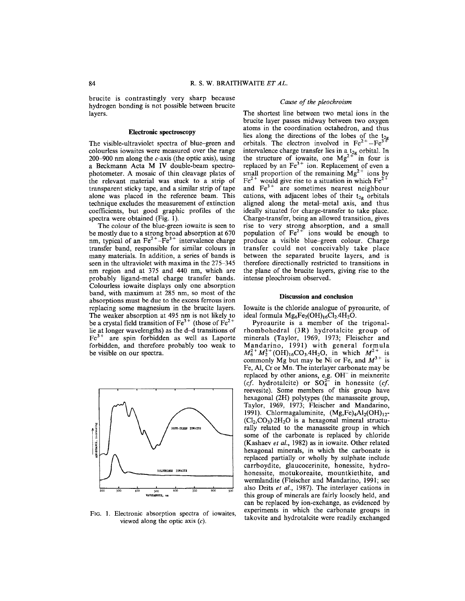brucite is contrastingly very sharp because hydrogen bonding is not possible between brucite layers.

## **Electronic spectroscopy**

The visible-ultraviolet spectra of blue-green and colourless iowaites were measured over the range 200-900 nm along the  $c$ -axis (the optic axis), using a Beckmann Acta M **IV** double-beam spectrophotometer. A mosaic of thin cleavage plates of the relevant material was stuck to a strip of transparent sticky tape, and a similar strip of tape alone was placed in the reference beam. This technique excludes the measurement of extinction coefficients, but good graphic profiles of the spectra were obtained (Fig. 1).

The colour of the blue-green iowaite is seen to be mostly due to a strong broad absorption at 670 nm, typical of an  $Fe^{2+}-Fe^{3+}$  intervalence charge transfer band, responsible for similar colours in many materials. **In** addition, a series of bands is seen in the ultraviolet with maxima in the 275-345 nm region and at 375 and 440 nm, which are probably ligand-metal charge transfer bands. Colourless iowaite displays only one absorption band, with maximum at 285 nm, so most of the absorptions must be due to the excess ferrous iron replacing some magnesium in the brucite layers. The weaker absorption at 495 nm is not likely to be a crystal field transition of  $Fe^{3+}$  (those of  $Fe^{2+}$ lie at longer wavelengths) as the d-d transitions of Fe<sup>3+</sup> are spin forbidden as well as Laporte forbidden, and therefore probably too weak to be visible on our spectra.



FIG. 1. Electronic absorption spectra of iowaites, viewed along the optic axis *(c).*

## *Cause of the pleochroism*

The shortest line between two metal ions in the brucite layer passes midway between two oxygen atoms in the coordination octahedron, and thus lies along the directions of the lobes of the  $t_{2j}$ <br>orbitals. The electron involved in  $Fe^{2+}-Fe^{3+}$ intervalence charge transfer lies in a t<sub>2g</sub> orbital. In the structure of iowaite, one  $Mg^2$  in four is replaced by an  $Fe<sup>3+</sup>$  ion. Replacement of even a small proportion of the remaining  $Mg^{2+}$  ions by Fe<sup>2+</sup> would give rise to a situation in which Fe<sup>2+</sup> and  $Fe<sup>3+</sup>$  are sometimes nearest neighbour cations, with adjacent lobes of their  $t_{2g}$  orbitals aligned along the metal-metal axis, and thus ideally situated for charge-transfer to take place. Charge-transfer, being an allowed transition, gives rise to very strong absorption, and a small population of  $Fe^{2+}$  ions would be enough to produce a visible blue–green colour. Charge transfer could not conceivably take place between the separated brucite layers, and is therefore directionally restricted to transitions in the plane of the brucite layers, giving rise to the intense pleochroism observed.

#### **Discussion and conclusion**

Iowaite is the chloride analogue of pyroaurite, of ideal formula  $Mg_6Fe_2(OH)_{16}Cl_2.4H_2O$ .

Pyroaurite is a member of the trigonalrhombohedral (3R) hydrotalcite group of minerals (Taylor, 1969, 1973; Fleischer and Mandarino, 1991) with general formula  $M_6^{2+}M_2^{3+}$ (OH)<sub>16</sub>CO<sub>3</sub>.4H<sub>2</sub>O, in which  $M^{2+}$  is commonly Mg but may be Ni or Fe, and  $M^{3+}$  is Fe, AI, Cr or Mn. The interlayer carbonate may be replaced by other anions, e.g. OH<sup>-</sup> in meixnerite *(cf.* hydrotalcite) or  $SO_4^{2-}$  in honessite *(cf.*) reevesite). Some members of this group have hexagonal (2H) polytypes (the manasseite group, Taylor, 1969, 1973; Fleischer and Mandarino, 1991). Chlormagaluminite,  $(Mg,Fe)<sub>4</sub>Al<sub>2</sub>(OH)<sub>12</sub>$  $(Cl_2,CO_3).2H_2O$  is a hexagonal mineral structurally related to the manasseite group in which some of the carbonate is replaced by chloride (Kashaev *et al.,* 1982) as in iowaite. Other related hexagonal minerals, in which the carbonate is replaced partially or wholly by sulphate include carrboydite, glaucocerinite, honessite, hydrohonessite, motukoreaite, mountkiethite, and wermlandite (Fleischer and Mandarino, 1991; see also Drits *et al.,* 1987). The interlayer cations in this group of minerals are fairly loosely held, and can be replaced by ion-exchange, as evidenced by experiments in which the carbonate groups in takovite and hydrotalcite were readily exchanged